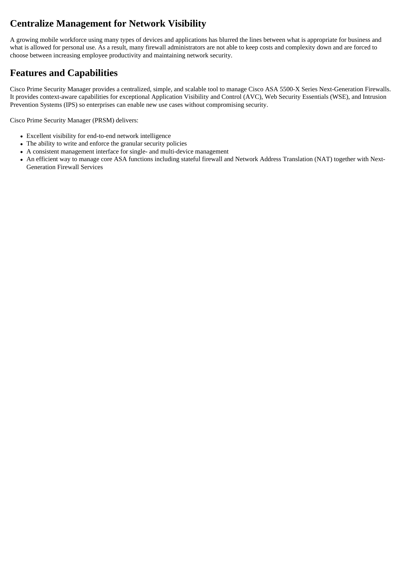# **Centralize Management for Network Visibility**

A growing mobile workforce using many types of devices and applications has blurred the lines between what is appropriate for business and what is allowed for personal use. As a result, many firewall administrators are not able to keep costs and complexity down and are forced to choose between increasing employee productivity and maintaining network security.

## **Features and Capabilities**

Cisco Prime Security Manager provides a centralized, simple, and scalable tool to manage Cisco ASA 5500-X Series Next-Generation Firewalls. It provides context-aware capabilities for exceptional Application Visibility and Control (AVC), Web Security Essentials (WSE), and Intrusion Prevention Systems (IPS) so enterprises can enable new use cases without compromising security.

Cisco Prime Security Manager (PRSM) delivers:

- Excellent visibility for end-to-end network intelligence
- The ability to write and enforce the granular security policies
- A consistent management interface for single- and multi-device management
- An efficient way to manage core ASA functions including stateful firewall and Network Address Translation (NAT) together with Next-Generation Firewall Services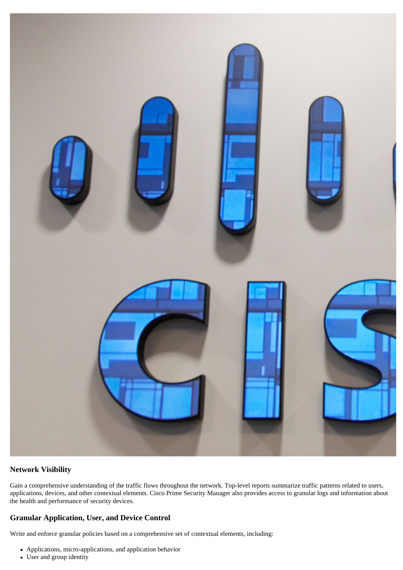

#### **Network Visibility**

Gain a comprehensive understanding of the traffic flows throughout the network. Top-level reports summarize traffic patterns related to users, applications, devices, and other contextual elements. Cisco Prime Security Manager also provides access to granular logs and information about the health and performance of security devices.

#### **Granular Application, User, and Device Control**

Write and enforce granular policies based on a comprehensive set of contextual elements, including:

- Applications, micro-applications, and application behavior
- User and group identity